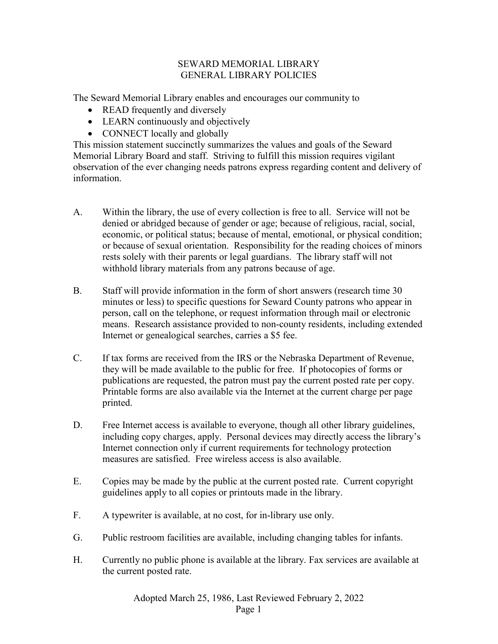## SEWARD MEMORIAL LIBRARY GENERAL LIBRARY POLICIES

The Seward Memorial Library enables and encourages our community to

- READ frequently and diversely
- LEARN continuously and objectively
- CONNECT locally and globally

This mission statement succinctly summarizes the values and goals of the Seward Memorial Library Board and staff. Striving to fulfill this mission requires vigilant observation of the ever changing needs patrons express regarding content and delivery of information.

- A. Within the library, the use of every collection is free to all. Service will not be denied or abridged because of gender or age; because of religious, racial, social, economic, or political status; because of mental, emotional, or physical condition; or because of sexual orientation. Responsibility for the reading choices of minors rests solely with their parents or legal guardians. The library staff will not withhold library materials from any patrons because of age.
- B. Staff will provide information in the form of short answers (research time 30 minutes or less) to specific questions for Seward County patrons who appear in person, call on the telephone, or request information through mail or electronic means. Research assistance provided to non-county residents, including extended Internet or genealogical searches, carries a \$5 fee.
- C. If tax forms are received from the IRS or the Nebraska Department of Revenue, they will be made available to the public for free. If photocopies of forms or publications are requested, the patron must pay the current posted rate per copy. Printable forms are also available via the Internet at the current charge per page printed.
- D. Free Internet access is available to everyone, though all other library guidelines, including copy charges, apply. Personal devices may directly access the library's Internet connection only if current requirements for technology protection measures are satisfied. Free wireless access is also available.
- E. Copies may be made by the public at the current posted rate. Current copyright guidelines apply to all copies or printouts made in the library.
- F. A typewriter is available, at no cost, for in-library use only.
- G. Public restroom facilities are available, including changing tables for infants.
- H. Currently no public phone is available at the library. Fax services are available at the current posted rate.

Adopted March 25, 1986, Last Reviewed February 2, 2022 Page 1